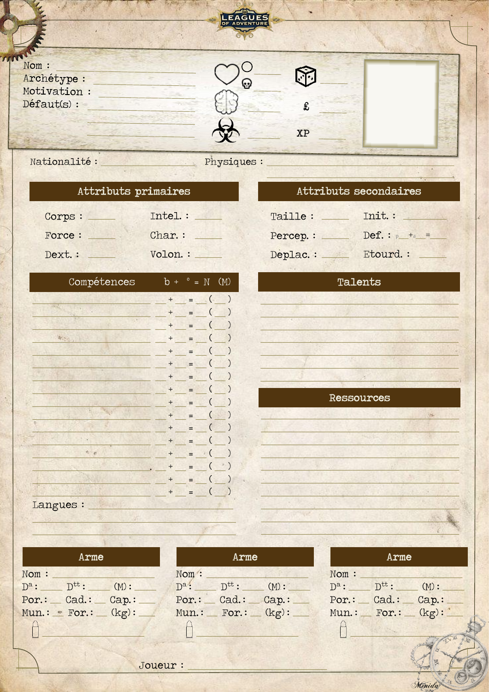|                                      | LEAGUES     |           |  |
|--------------------------------------|-------------|-----------|--|
| Nom :<br>Archétype :<br>Motivation : | ⊕           |           |  |
| Défaut(s) :                          |             | £         |  |
| Nationalité :                        | Physiques : | <b>XP</b> |  |

|  |  | Attributs primaires |
|--|--|---------------------|
|--|--|---------------------|

| Corps : | Intel. : |
|---------|----------|
| Force:  | Char.:   |
| Dext. : | Volon. : |

| Compétences | $b +$  | $\circ$<br>$= N$      | (M)           |
|-------------|--------|-----------------------|---------------|
|             | $^{+}$ | $\overline{C}$<br>$=$ | )             |
| 16.2        | $+$    | (<br>$=$              |               |
|             | $+$    | $=$                   |               |
| <b>WORK</b> | $^{+}$ | $=$                   | 1             |
|             | $^{+}$ | (<br>$=$              | 1             |
|             | $^{+}$ | (<br>$=$              |               |
|             | $^{+}$ | $=$                   | )             |
|             | $+$    | (<br>$=$              | )             |
|             | $+$    | (<br>$=$              | 1             |
|             | $+$    | $=$                   | $\lambda$     |
|             | $+$    | $=$                   | Ι             |
|             | $+$    | $=$                   | )             |
| $6 - e$     | $+$    | (<br>$=$              |               |
|             | $^{+}$ | (<br>$=$              |               |
|             | $+$    | (<br>=                |               |
|             | $+$    | (<br>$=$              | $\mathcal{E}$ |
| Langues :   |        |                       |               |

| Deplac. : | Etourd.:       |
|-----------|----------------|
|           | <b>Talents</b> |
|           |                |
|           |                |
|           |                |
|           |                |
|           | Ressources     |
|           | b4             |
|           |                |
|           |                |
|           |                |

Attributs secondaires

 $\begin{tabular}{ll} \texttt{Taille}: & \texttt{mit}: & \texttt{mit} \end{tabular}$ 

Percep.: Def.:  $p_{+a} =$ 

| Arme                    |      |      | Arme                                  | Arme |  |      |                     |                         |
|-------------------------|------|------|---------------------------------------|------|--|------|---------------------|-------------------------|
| Nom :                   |      | Nom: |                                       |      |  | Nom: |                     |                         |
| $D^a$ : $D^{tt}$ :      | (M): |      | $D^{\mathbf{a}}$ : $D^{\mathbf{t}}$ : | (M): |  |      | $D^a$ : $D^{tt}$ :  | (M):                    |
| $Por.:$ Cad.: Cap.:     |      |      | $Por.:$ Cad.: Cap.:                   |      |  |      | $Por.:$ Cad.: Cap.: |                         |
| $Mun. := For. := (kg):$ |      |      | $M$ un.: For.: $(kg)$ :               |      |  |      |                     | $M$ un.: For.: $(kg)$ : |
|                         |      |      |                                       |      |  |      |                     |                         |
|                         |      |      |                                       |      |  |      |                     |                         |
|                         |      |      |                                       |      |  |      |                     | $\equiv$                |

Menida &